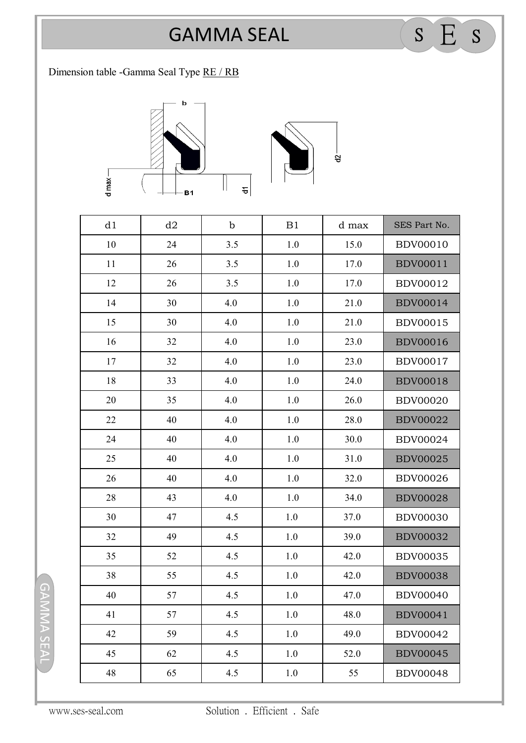## GAMMA SEAL SEARCH

Dimension table -Gamma Seal Type RE / RB

 $d$  max $\Box$ 

## $\mathbf b$  $\overline{t}$ B1

 $\frac{1}{2}$ 

| d1 | d2 | $\mathbf b$ | B1      | d max | SES Part No.    |
|----|----|-------------|---------|-------|-----------------|
| 10 | 24 | 3.5         | 1.0     | 15.0  | <b>BDV00010</b> |
| 11 | 26 | 3.5         | 1.0     | 17.0  | <b>BDV00011</b> |
| 12 | 26 | 3.5         | 1.0     | 17.0  | <b>BDV00012</b> |
| 14 | 30 | 4.0         | 1.0     | 21.0  | <b>BDV00014</b> |
| 15 | 30 | 4.0         | 1.0     | 21.0  | <b>BDV00015</b> |
| 16 | 32 | 4.0         | 1.0     | 23.0  | <b>BDV00016</b> |
| 17 | 32 | 4.0         | 1.0     | 23.0  | <b>BDV00017</b> |
| 18 | 33 | 4.0         | 1.0     | 24.0  | <b>BDV00018</b> |
| 20 | 35 | 4.0         | 1.0     | 26.0  | <b>BDV00020</b> |
| 22 | 40 | 4.0         | 1.0     | 28.0  | <b>BDV00022</b> |
| 24 | 40 | 4.0         | 1.0     | 30.0  | <b>BDV00024</b> |
| 25 | 40 | 4.0         | 1.0     | 31.0  | <b>BDV00025</b> |
| 26 | 40 | 4.0         | 1.0     | 32.0  | <b>BDV00026</b> |
| 28 | 43 | 4.0         | 1.0     | 34.0  | <b>BDV00028</b> |
| 30 | 47 | 4.5         | 1.0     | 37.0  | <b>BDV00030</b> |
| 32 | 49 | 4.5         | 1.0     | 39.0  | <b>BDV00032</b> |
| 35 | 52 | 4.5         | 1.0     | 42.0  | <b>BDV00035</b> |
| 38 | 55 | 4.5         | 1.0     | 42.0  | <b>BDV00038</b> |
| 40 | 57 | 4.5         | 1.0     | 47.0  | <b>BDV00040</b> |
| 41 | 57 | 4.5         | 1.0     | 48.0  | <b>BDV00041</b> |
| 42 | 59 | 4.5         | $1.0\,$ | 49.0  | <b>BDV00042</b> |
| 45 | 62 | 4.5         | $1.0\,$ | 52.0  | <b>BDV00045</b> |
| 48 | 65 | 4.5         | $1.0\,$ | 55    | <b>BDV00048</b> |